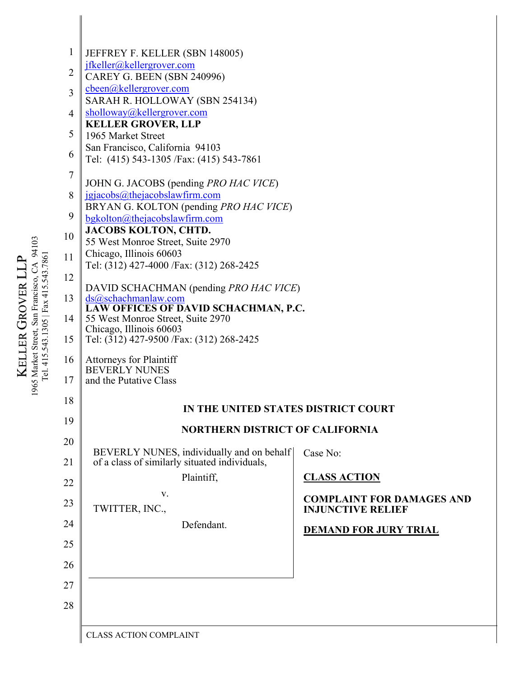| 1              | JEFFREY F. KELLER (SBN 148005)                                               |                                  |
|----------------|------------------------------------------------------------------------------|----------------------------------|
| $\overline{2}$ | jfkeller@kellergrover.com<br><b>CAREY G. BEEN (SBN 240996)</b>               |                                  |
| 3              | cbeen@kellergrover.com                                                       |                                  |
|                | SARAH R. HOLLOWAY (SBN 254134)                                               |                                  |
| $\overline{4}$ | sholloway@kellergrover.com<br><b>KELLER GROVER, LLP</b>                      |                                  |
| 5              | 1965 Market Street                                                           |                                  |
| 6              | San Francisco, California 94103<br>Tel: (415) 543-1305 / Fax: (415) 543-7861 |                                  |
| $\overline{7}$ | JOHN G. JACOBS (pending PRO HAC VICE)                                        |                                  |
| 8              | $igja \cosh(a)$ thejacobslawfirm.com                                         |                                  |
| 9              | BRYAN G. KOLTON (pending PRO HAC VICE)<br>bgkolton@thejacobslawfirm.com      |                                  |
| 10             | <b>JACOBS KOLTON, CHTD.</b>                                                  |                                  |
|                | 55 West Monroe Street, Suite 2970                                            |                                  |
| 11             | Chicago, Illinois 60603<br>Tel: (312) 427-4000 / Fax: (312) 268-2425         |                                  |
| 12             |                                                                              |                                  |
| 13             | DAVID SCHACHMAN (pending PRO HAC VICE)<br>ds@schachmanlaw.com                |                                  |
| 14             | LAW OFFICES OF DAVID SCHACHMAN, P.C.<br>55 West Monroe Street, Suite 2970    |                                  |
|                | Chicago, Illinois 60603                                                      |                                  |
| 15             | Tel: (312) 427-9500 / Fax: (312) 268-2425                                    |                                  |
| 16             | <b>Attorneys for Plaintiff</b><br><b>BEVERLY NUNES</b>                       |                                  |
| 17             | and the Putative Class                                                       |                                  |
| 18             |                                                                              |                                  |
| 19             | IN THE UNITED STATES DISTRICT COURT                                          |                                  |
|                | <b>NORTHERN DISTRICT OF CALIFORNIA</b>                                       |                                  |
| 20             | BEVERLY NUNES, individually and on behalf                                    | Case No:                         |
| 21             | of a class of similarly situated individuals,                                |                                  |
| 22             | Plaintiff,                                                                   | <b>CLASS ACTION</b>              |
| 23             | V.                                                                           | <b>COMPLAINT FOR DAMAGES AND</b> |
| 24             | TWITTER, INC.,<br>Defendant.                                                 | <b>INJUNCTIVE RELIEF</b>         |
|                |                                                                              | <b>DEMAND FOR JURY TRIAL</b>     |
| 25             |                                                                              |                                  |
| 26             |                                                                              |                                  |
| 27             |                                                                              |                                  |
| 28             |                                                                              |                                  |
|                |                                                                              |                                  |
|                |                                                                              |                                  |

## KE L L H,  $\approx$  $\mathfrak{S}% _{T}=\mathfrak{S}_{T}\!\left( a,b\right) ,\ \mathfrak{S}_{T}=C_{T}\!\left( a,b\right) ,$ O  $\geq$  $\mathbf \mu$  $\approx$  $\overline{\phantom{0}}$  $\overline{\phantom{0}}$  $\mathsf{P}_{\! \! \! \mathsf{H}}$ 1965 Market Street, San Francisco, CA 94103 Tel. 415.543.1305 | Fax 415.543.7861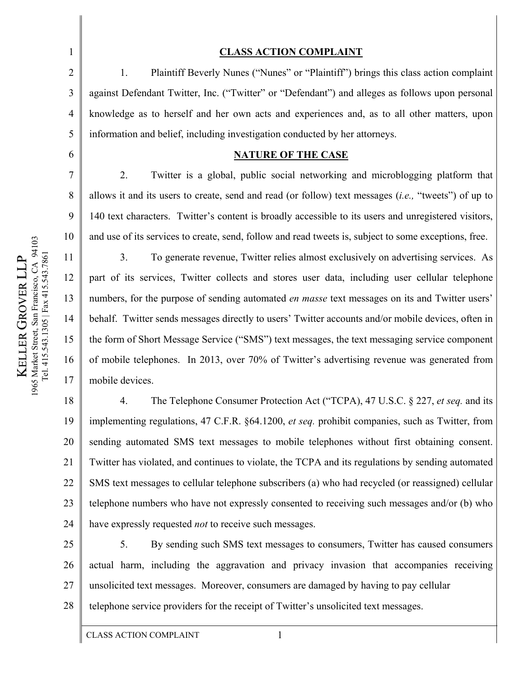2

3

4

5

6

7

8

9

10

11

12

13

14

15

16

17

## **CLASS ACTION COMPLAINT**

1. Plaintiff Beverly Nunes ("Nunes" or "Plaintiff") brings this class action complaint against Defendant Twitter, Inc. ("Twitter" or "Defendant") and alleges as follows upon personal knowledge as to herself and her own acts and experiences and, as to all other matters, upon information and belief, including investigation conducted by her attorneys.

### **NATURE OF THE CASE**

2. Twitter is a global, public social networking and microblogging platform that allows it and its users to create, send and read (or follow) text messages (*i.e.,* "tweets") of up to 140 text characters. Twitter's content is broadly accessible to its users and unregistered visitors, and use of its services to create, send, follow and read tweets is, subject to some exceptions, free.

3. To generate revenue, Twitter relies almost exclusively on advertising services. As part of its services, Twitter collects and stores user data, including user cellular telephone numbers, for the purpose of sending automated *en masse* text messages on its and Twitter users' behalf. Twitter sends messages directly to users' Twitter accounts and/or mobile devices, often in the form of Short Message Service ("SMS") text messages, the text messaging service component of mobile telephones. In 2013, over 70% of Twitter's advertising revenue was generated from mobile devices.

18 19 20 21 22 23 24 4. The Telephone Consumer Protection Act ("TCPA), 47 U.S.C. § 227, *et seq.* and its implementing regulations, 47 C.F.R. §64.1200, *et seq.* prohibit companies, such as Twitter, from sending automated SMS text messages to mobile telephones without first obtaining consent. Twitter has violated, and continues to violate, the TCPA and its regulations by sending automated SMS text messages to cellular telephone subscribers (a) who had recycled (or reassigned) cellular telephone numbers who have not expressly consented to receiving such messages and/or (b) who have expressly requested *not* to receive such messages.

25 26 27 28 5. By sending such SMS text messages to consumers, Twitter has caused consumers actual harm, including the aggravation and privacy invasion that accompanies receiving unsolicited text messages. Moreover, consumers are damaged by having to pay cellular telephone service providers for the receipt of Twitter's unsolicited text messages.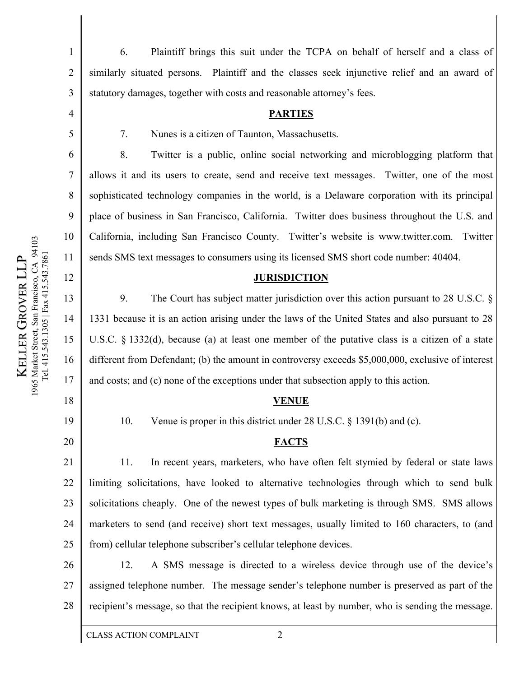2

3

4

5

6

7

8

9

10

11

12

13

14

15

16

17

18

19

20

6. Plaintiff brings this suit under the TCPA on behalf of herself and a class of similarly situated persons. Plaintiff and the classes seek injunctive relief and an award of statutory damages, together with costs and reasonable attorney's fees.

## **PARTIES**

7. Nunes is a citizen of Taunton, Massachusetts.

8. Twitter is a public, online social networking and microblogging platform that allows it and its users to create, send and receive text messages. Twitter, one of the most sophisticated technology companies in the world, is a Delaware corporation with its principal place of business in San Francisco, California. Twitter does business throughout the U.S. and California, including San Francisco County. Twitter's website is www.twitter.com. Twitter sends SMS text messages to consumers using its licensed SMS short code number: 40404.

## **JURISDICTION**

9. The Court has subject matter jurisdiction over this action pursuant to 28 U.S.C. § 1331 because it is an action arising under the laws of the United States and also pursuant to 28 U.S.C. § 1332(d), because (a) at least one member of the putative class is a citizen of a state different from Defendant; (b) the amount in controversy exceeds \$5,000,000, exclusive of interest and costs; and (c) none of the exceptions under that subsection apply to this action.

## **VENUE**

10. Venue is proper in this district under 28 U.S.C. § 1391(b) and (c).

## **FACTS**

21 22 23 24 25 11. In recent years, marketers, who have often felt stymied by federal or state laws limiting solicitations, have looked to alternative technologies through which to send bulk solicitations cheaply. One of the newest types of bulk marketing is through SMS. SMS allows marketers to send (and receive) short text messages, usually limited to 160 characters, to (and from) cellular telephone subscriber's cellular telephone devices.

26 27 28 12. A SMS message is directed to a wireless device through use of the device's assigned telephone number. The message sender's telephone number is preserved as part of the recipient's message, so that the recipient knows, at least by number, who is sending the message.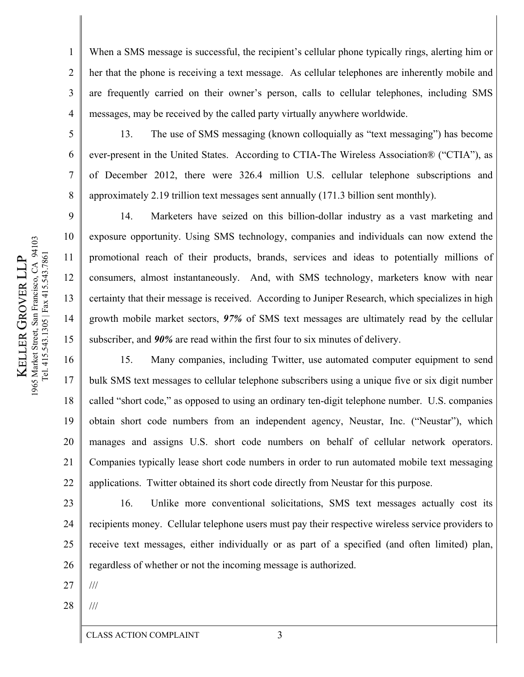5 6 7 8 9 10 1965 Market Street, San Francisco, CA 94103 Francisco, CA 94103 Tel. 415.543.1305 | Fax 415.543.7861 Tel. 415.543.1305 | Fax 415.543.7861 11  $\mathsf{P}_{\! \! \! \mathsf{H}}$  $\overline{\phantom{0}}$  $\overline{\phantom{0}}$ 12 VER

13

14

15

KE LLER

 $\mathfrak{S}% _{T}=\mathfrak{S}_{T}\!\left( a,b\right) ,\ \mathfrak{S}_{T}=C_{T}\!\left( a,b\right) ,$ O

San<sup>1</sup>

965 Market Street,

1

2

3

4

When a SMS message is successful, the recipient's cellular phone typically rings, alerting him or her that the phone is receiving a text message. As cellular telephones are inherently mobile and are frequently carried on their owner's person, calls to cellular telephones, including SMS messages, may be received by the called party virtually anywhere worldwide.

13. The use of SMS messaging (known colloquially as "text messaging") has become ever-present in the United States. According to CTIA-The Wireless Association® ("CTIA"), as of December 2012, there were 326.4 million U.S. cellular telephone subscriptions and approximately 2.19 trillion text messages sent annually (171.3 billion sent monthly).

14. Marketers have seized on this billion-dollar industry as a vast marketing and exposure opportunity. Using SMS technology, companies and individuals can now extend the promotional reach of their products, brands, services and ideas to potentially millions of consumers, almost instantaneously. And, with SMS technology, marketers know with near certainty that their message is received. According to Juniper Research, which specializes in high growth mobile market sectors, *97%* of SMS text messages are ultimately read by the cellular subscriber, and *90%* are read within the first four to six minutes of delivery.

16 17 18 19 20 21 22 15. Many companies, including Twitter, use automated computer equipment to send bulk SMS text messages to cellular telephone subscribers using a unique five or six digit number called "short code," as opposed to using an ordinary ten-digit telephone number. U.S. companies obtain short code numbers from an independent agency, Neustar, Inc. ("Neustar"), which manages and assigns U.S. short code numbers on behalf of cellular network operators. Companies typically lease short code numbers in order to run automated mobile text messaging applications. Twitter obtained its short code directly from Neustar for this purpose.

23 24 25 26 16. Unlike more conventional solicitations, SMS text messages actually cost its recipients money. Cellular telephone users must pay their respective wireless service providers to receive text messages, either individually or as part of a specified (and often limited) plan, regardless of whether or not the incoming message is authorized.

27 ///

///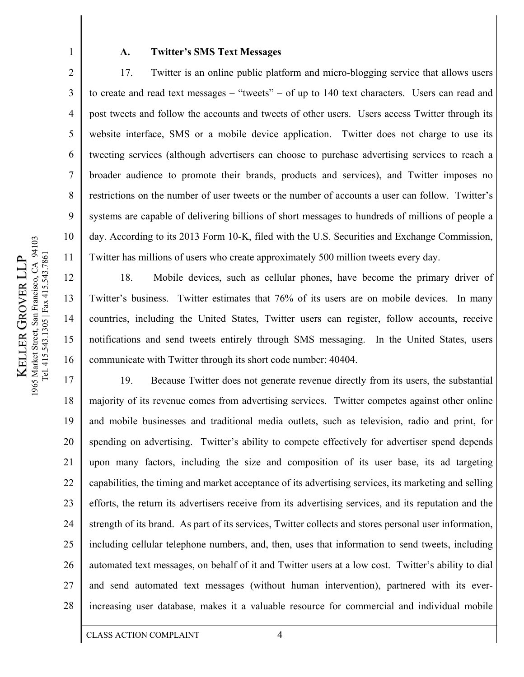### **A. Twitter's SMS Text Messages**

17. Twitter is an online public platform and micro-blogging service that allows users to create and read text messages – "tweets" – of up to 140 text characters. Users can read and post tweets and follow the accounts and tweets of other users. Users access Twitter through its website interface, SMS or a mobile device application. Twitter does not charge to use its tweeting services (although advertisers can choose to purchase advertising services to reach a broader audience to promote their brands, products and services), and Twitter imposes no restrictions on the number of user tweets or the number of accounts a user can follow. Twitter's systems are capable of delivering billions of short messages to hundreds of millions of people a day. According to its 2013 Form 10-K, filed with the U.S. Securities and Exchange Commission, Twitter has millions of users who create approximately 500 million tweets every day.

18. Mobile devices, such as cellular phones, have become the primary driver of Twitter's business. Twitter estimates that 76% of its users are on mobile devices. In many countries, including the United States, Twitter users can register, follow accounts, receive notifications and send tweets entirely through SMS messaging. In the United States, users communicate with Twitter through its short code number: 40404.

17 18 19 20 21 22 23 24 25 26 27 28 19. Because Twitter does not generate revenue directly from its users, the substantial majority of its revenue comes from advertising services. Twitter competes against other online and mobile businesses and traditional media outlets, such as television, radio and print, for spending on advertising. Twitter's ability to compete effectively for advertiser spend depends upon many factors, including the size and composition of its user base, its ad targeting capabilities, the timing and market acceptance of its advertising services, its marketing and selling efforts, the return its advertisers receive from its advertising services, and its reputation and the strength of its brand. As part of its services, Twitter collects and stores personal user information, including cellular telephone numbers, and, then, uses that information to send tweets, including automated text messages, on behalf of it and Twitter users at a low cost. Twitter's ability to dial and send automated text messages (without human intervention), partnered with its everincreasing user database, makes it a valuable resource for commercial and individual mobile

1

2

3

4

5

6

7

8

9

10

11

12

13

14

15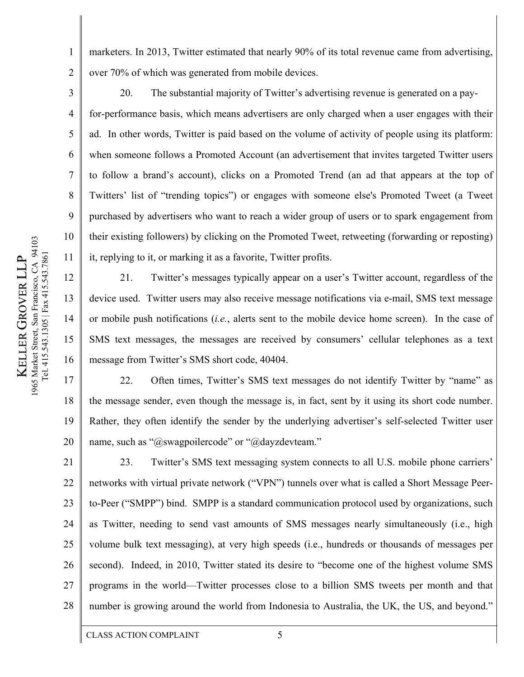marketers. In 2013, Twitter estimated that nearly 90% of its total revenue came from advertising, over 70% of which was generated from mobile devices.

20. The substantial majority of Twitter's advertising revenue is generated on a payfor-performance basis, which means advertisers are only charged when a user engages with their ad. In other words, Twitter is paid based on the volume of activity of people using its platform: when someone follows a Promoted Account (an advertisement that invites targeted Twitter users to follow a brand's account), clicks on a Promoted Trend (an ad that appears at the top of Twitters' list of "trending topics") or engages with someone else's Promoted Tweet (a Tweet purchased by advertisers who want to reach a wider group of users or to spark engagement from their existing followers) by clicking on the Promoted Tweet, retweeting (forwarding or reposting) it, replying to it, or marking it as a favorite, Twitter profits.

21. Twitter's messages typically appear on a user's Twitter account, regardless of the device used. Twitter users may also receive message notifications via e-mail, SMS text message or mobile push notifications (*i.e.*, alerts sent to the mobile device home screen). In the case of SMS text messages, the messages are received by consumers' cellular telephones as a text message from Twitter's SMS short code, 40404.

17 18 19 20 22. Often times, Twitter's SMS text messages do not identify Twitter by "name" as the message sender, even though the message is, in fact, sent by it using its short code number. Rather, they often identify the sender by the underlying advertiser's self-selected Twitter user name, such as "@swagpoilercode" or "@dayzdevteam."

21 22 23 24 25 26 27 28 23. Twitter's SMS text messaging system connects to all U.S. mobile phone carriers' networks with virtual private network ("VPN") tunnels over what is called a Short Message Peerto-Peer ("SMPP") bind. SMPP is a standard communication protocol used by organizations, such as Twitter, needing to send vast amounts of SMS messages nearly simultaneously (i.e., high volume bulk text messaging), at very high speeds (i.e., hundreds or thousands of messages per second). Indeed, in 2010, Twitter stated its desire to "become one of the highest volume SMS programs in the world—Twitter processes close to a billion SMS tweets per month and that number is growing around the world from Indonesia to Australia, the UK, the US, and beyond."

1

2

3

4

5

6

7

8

9

10

11

12

13

14

15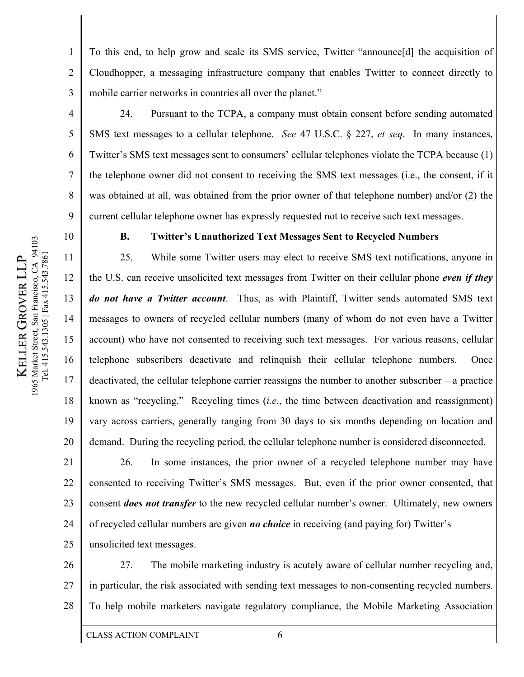2

3

4

5

6

7

8

9

10

11

12

13

14

15

16

17

18

19

20

To this end, to help grow and scale its SMS service, Twitter "announce[d] the acquisition of Cloudhopper, a messaging infrastructure company that enables Twitter to connect directly to mobile carrier networks in countries all over the planet."

24. Pursuant to the TCPA, a company must obtain consent before sending automated SMS text messages to a cellular telephone. *See* 47 U.S.C. § 227, *et seq*. In many instances, Twitter's SMS text messages sent to consumers' cellular telephones violate the TCPA because (1) the telephone owner did not consent to receiving the SMS text messages (i.e., the consent, if it was obtained at all, was obtained from the prior owner of that telephone number) and/or (2) the current cellular telephone owner has expressly requested not to receive such text messages.

## **B. Twitter's Unauthorized Text Messages Sent to Recycled Numbers**

25. While some Twitter users may elect to receive SMS text notifications, anyone in the U.S. can receive unsolicited text messages from Twitter on their cellular phone *even if they do not have a Twitter account*. Thus, as with Plaintiff, Twitter sends automated SMS text messages to owners of recycled cellular numbers (many of whom do not even have a Twitter account) who have not consented to receiving such text messages. For various reasons, cellular telephone subscribers deactivate and relinquish their cellular telephone numbers. Once deactivated, the cellular telephone carrier reassigns the number to another subscriber – a practice known as "recycling." Recycling times (*i.e.*, the time between deactivation and reassignment) vary across carriers, generally ranging from 30 days to six months depending on location and demand. During the recycling period, the cellular telephone number is considered disconnected.

21 22 23 24 26. In some instances, the prior owner of a recycled telephone number may have consented to receiving Twitter's SMS messages. But, even if the prior owner consented, that consent *does not transfer* to the new recycled cellular number's owner. Ultimately, new owners of recycled cellular numbers are given *no choice* in receiving (and paying for) Twitter's

25 unsolicited text messages.

26 27 28 27. The mobile marketing industry is acutely aware of cellular number recycling and, in particular, the risk associated with sending text messages to non-consenting recycled numbers. To help mobile marketers navigate regulatory compliance, the Mobile Marketing Association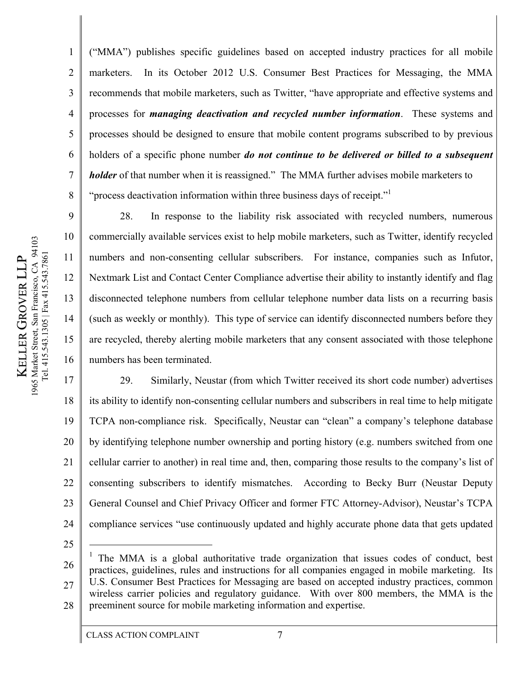3 recommends that mobile marketers, such as Twitter, "have appropriate and effective systems and 4 processes for *managing deactivation and recycled number information*. These systems and 5 processes should be designed to ensure that mobile content programs subscribed to by previous 6 holders of a specific phone number *do not continue to be delivered or billed to a subsequent holder* of that number when it is reassigned." The MMA further advises mobile marketers to 7 "process deactivation information within three business days of receipt."<sup>1</sup> 8 9 10 1965 Market Street, San Francisco, CA 94103 Francisco, CA 94103 Tel. 415.543.1305 | Fax 415.543.7861 Tel. 415.543.1305 | Fax 415.543.7861 11  $\mathsf{P}_{\! \! \! \mathsf{H}}$  $\overline{\phantom{0}}$  $\overline{\phantom{0}}$ 12 VER13

1

2

28. In response to the liability risk associated with recycled numbers, numerous commercially available services exist to help mobile marketers, such as Twitter, identify recycled numbers and non-consenting cellular subscribers. For instance, companies such as Infutor, Nextmark List and Contact Center Compliance advertise their ability to instantly identify and flag disconnected telephone numbers from cellular telephone number data lists on a recurring basis (such as weekly or monthly). This type of service can identify disconnected numbers before they are recycled, thereby alerting mobile marketers that any consent associated with those telephone numbers has been terminated.

("MMA") publishes specific guidelines based on accepted industry practices for all mobile

marketers. In its October 2012 U.S. Consumer Best Practices for Messaging, the MMA

17 18 19 20 21 22 23 24 29. Similarly, Neustar (from which Twitter received its short code number) advertises its ability to identify non-consenting cellular numbers and subscribers in real time to help mitigate TCPA non-compliance risk. Specifically, Neustar can "clean" a company's telephone database by identifying telephone number ownership and porting history (e.g. numbers switched from one cellular carrier to another) in real time and, then, comparing those results to the company's list of consenting subscribers to identify mismatches. According to Becky Burr (Neustar Deputy General Counsel and Chief Privacy Officer and former FTC Attorney-Advisor), Neustar's TCPA compliance services "use continuously updated and highly accurate phone data that gets updated

25

 $\overline{a}$ 

14

15

16

KE LLER

 $\mathfrak{S}% _{T}=\mathfrak{S}_{T}\!\left( a,b\right) ,\ \mathfrak{S}_{T}=C_{T}\!\left( a,b\right) ,$ O

San<sup>1</sup>

1965 Market Street, 1

26 27 28 <sup>1</sup> The MMA is a global authoritative trade organization that issues codes of conduct, best practices, guidelines, rules and instructions for all companies engaged in mobile marketing. Its U.S. Consumer Best Practices for Messaging are based on accepted industry practices, common wireless carrier policies and regulatory guidance. With over 800 members, the MMA is the preeminent source for mobile marketing information and expertise.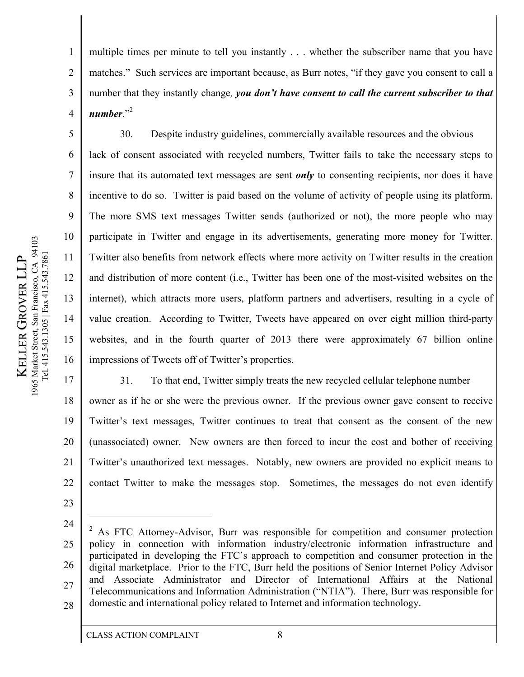multiple times per minute to tell you instantly . . . whether the subscriber name that you have matches." Such services are important because, as Burr notes, "if they gave you consent to call a number that they instantly change*, you don't have consent to call the current subscriber to that number*."2

30. Despite industry guidelines, commercially available resources and the obvious lack of consent associated with recycled numbers, Twitter fails to take the necessary steps to insure that its automated text messages are sent *only* to consenting recipients, nor does it have incentive to do so. Twitter is paid based on the volume of activity of people using its platform. The more SMS text messages Twitter sends (authorized or not), the more people who may participate in Twitter and engage in its advertisements, generating more money for Twitter. Twitter also benefits from network effects where more activity on Twitter results in the creation and distribution of more content (i.e., Twitter has been one of the most-visited websites on the internet), which attracts more users, platform partners and advertisers, resulting in a cycle of value creation. According to Twitter, Tweets have appeared on over eight million third-party websites, and in the fourth quarter of 2013 there were approximately 67 billion online impressions of Tweets off of Twitter's properties.

31. To that end, Twitter simply treats the new recycled cellular telephone number

18 19 20 21 22 owner as if he or she were the previous owner. If the previous owner gave consent to receive Twitter's text messages, Twitter continues to treat that consent as the consent of the new (unassociated) owner. New owners are then forced to incur the cost and bother of receiving Twitter's unauthorized text messages. Notably, new owners are provided no explicit means to contact Twitter to make the messages stop. Sometimes, the messages do not even identify

- 23
- 24

 $\overline{a}$ 

- 25
- 26 27 28  $2$  As FTC Attorney-Advisor, Burr was responsible for competition and consumer protection policy in connection with information industry/electronic information infrastructure and participated in developing the FTC's approach to competition and consumer protection in the digital marketplace. Prior to the FTC, Burr held the positions of Senior Internet Policy Advisor and Associate Administrator and Director of International Affairs at the National Telecommunications and Information Administration ("NTIA"). There, Burr was responsible for domestic and international policy related to Internet and information technology.

1

2

3

4

5

6

7

8

9

10

11

12

13

14

15

16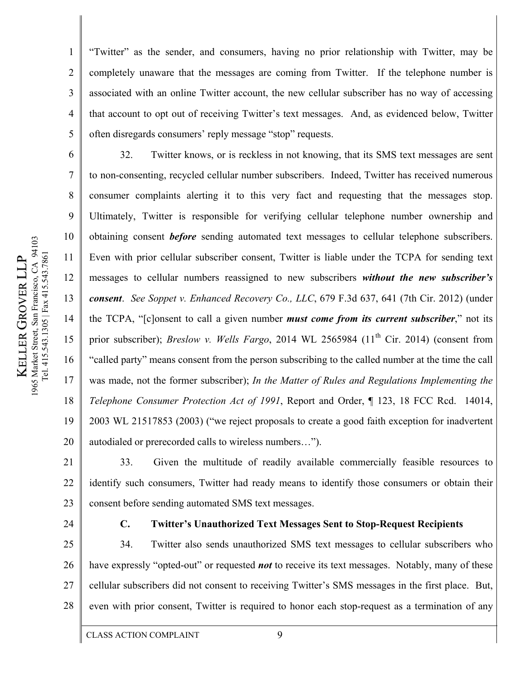"Twitter" as the sender, and consumers, having no prior relationship with Twitter, may be completely unaware that the messages are coming from Twitter. If the telephone number is associated with an online Twitter account, the new cellular subscriber has no way of accessing that account to opt out of receiving Twitter's text messages. And, as evidenced below, Twitter often disregards consumers' reply message "stop" requests.

14 19 20 32. Twitter knows, or is reckless in not knowing, that its SMS text messages are sent to non-consenting, recycled cellular number subscribers. Indeed, Twitter has received numerous consumer complaints alerting it to this very fact and requesting that the messages stop. Ultimately, Twitter is responsible for verifying cellular telephone number ownership and obtaining consent *before* sending automated text messages to cellular telephone subscribers. Even with prior cellular subscriber consent, Twitter is liable under the TCPA for sending text messages to cellular numbers reassigned to new subscribers *without the new subscriber's consent*. *See Soppet v. Enhanced Recovery Co., LLC*, 679 F.3d 637, 641 (7th Cir. 2012) (under the TCPA, "[c]onsent to call a given number *must come from its current subscriber*," not its prior subscriber); *Breslow v. Wells Fargo*, 2014 WL 2565984 (11<sup>th</sup> Cir. 2014) (consent from "called party" means consent from the person subscribing to the called number at the time the call was made, not the former subscriber); *In the Matter of Rules and Regulations Implementing the Telephone Consumer Protection Act of 1991*, Report and Order, ¶ 123, 18 FCC Rcd. 14014, 2003 WL 21517853 (2003) ("we reject proposals to create a good faith exception for inadvertent autodialed or prerecorded calls to wireless numbers…").

21 22 23 33. Given the multitude of readily available commercially feasible resources to identify such consumers, Twitter had ready means to identify those consumers or obtain their consent before sending automated SMS text messages.

24

## **C. Twitter's Unauthorized Text Messages Sent to Stop-Request Recipients**

25 26 27 28 34. Twitter also sends unauthorized SMS text messages to cellular subscribers who have expressly "opted-out" or requested *not* to receive its text messages. Notably, many of these cellular subscribers did not consent to receiving Twitter's SMS messages in the first place. But, even with prior consent, Twitter is required to honor each stop-request as a termination of any

1

2

3

4

5

6

7

8

9

10

11

12

13

15

16

17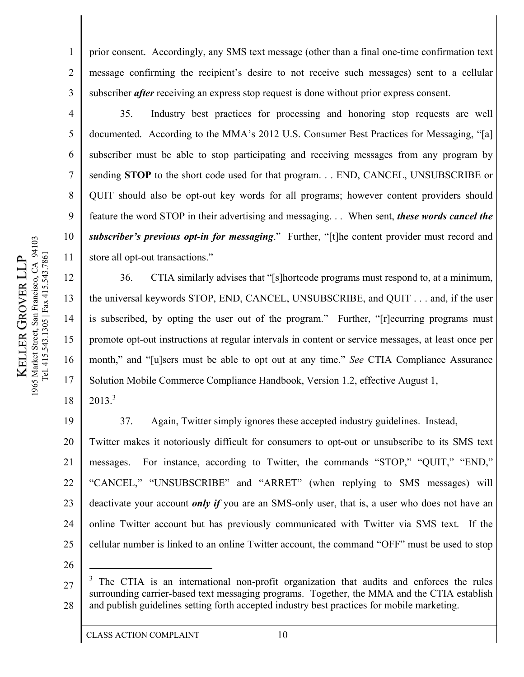1965 Market Street, San Francisco, CA 94103 Francisco, CA 94103 Tel. 415.543.1305 | Fax 415.543.7861 Tel. 415.543.1305 | Fax 415.543.7861  $\mathsf{P}_{\! \! \! \mathsf{H}}$  $\overline{\phantom{0}}$  $\overline{\phantom{0}}$ VEROSan<sup>1</sup>  $\mathfrak{S}% _{T}=\mathfrak{S}_{T}\!\left( a,b\right) ,\ \mathfrak{S}_{T}=C_{T}\!\left( a,b\right) ,$ 1965 Market Street, KE LLER

1

2

3

4

5

6

7

8

9

10

11

12

13

14

15

16

17

18

prior consent. Accordingly, any SMS text message (other than a final one-time confirmation text message confirming the recipient's desire to not receive such messages) sent to a cellular subscriber *after* receiving an express stop request is done without prior express consent.

35. Industry best practices for processing and honoring stop requests are well documented. According to the MMA's 2012 U.S. Consumer Best Practices for Messaging, "[a] subscriber must be able to stop participating and receiving messages from any program by sending **STOP** to the short code used for that program. . . END, CANCEL, UNSUBSCRIBE or QUIT should also be opt-out key words for all programs; however content providers should feature the word STOP in their advertising and messaging. . . When sent, *these words cancel the subscriber's previous opt-in for messaging*." Further, "[t]he content provider must record and store all opt-out transactions."

36. CTIA similarly advises that "[s]hortcode programs must respond to, at a minimum, the universal keywords STOP, END, CANCEL, UNSUBSCRIBE, and QUIT . . . and, if the user is subscribed, by opting the user out of the program." Further, "[r]ecurring programs must promote opt-out instructions at regular intervals in content or service messages, at least once per month," and "[u]sers must be able to opt out at any time." *See* CTIA Compliance Assurance Solution Mobile Commerce Compliance Handbook, Version 1.2, effective August 1,  $2013.<sup>3</sup>$ 

19 20 21 22 23 24 25 37. Again, Twitter simply ignores these accepted industry guidelines. Instead, Twitter makes it notoriously difficult for consumers to opt-out or unsubscribe to its SMS text messages. For instance, according to Twitter, the commands "STOP," "QUIT," "END," "CANCEL," "UNSUBSCRIBE" and "ARRET" (when replying to SMS messages) will deactivate your account *only if* you are an SMS-only user, that is, a user who does not have an online Twitter account but has previously communicated with Twitter via SMS text. If the cellular number is linked to an online Twitter account, the command "OFF" must be used to stop  $\overline{a}$ 

26

27 28 3 The CTIA is an international non-profit organization that audits and enforces the rules surrounding carrier-based text messaging programs. Together, the MMA and the CTIA establish and publish guidelines setting forth accepted industry best practices for mobile marketing.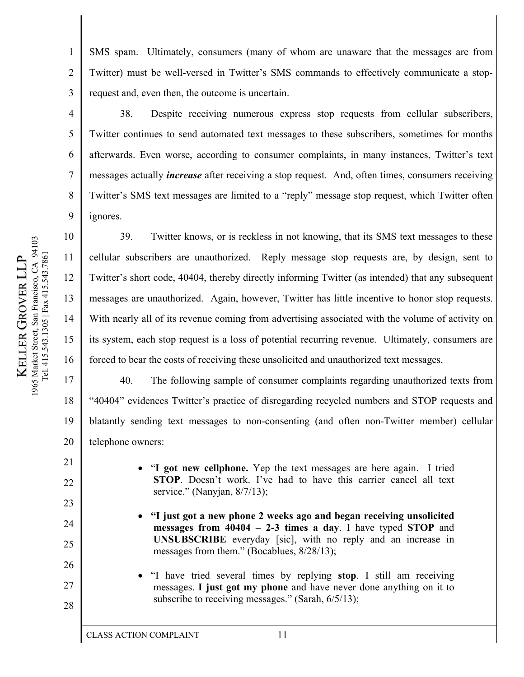SMS spam. Ultimately, consumers (many of whom are unaware that the messages are from Twitter) must be well-versed in Twitter's SMS commands to effectively communicate a stoprequest and, even then, the outcome is uncertain.

38. Despite receiving numerous express stop requests from cellular subscribers, Twitter continues to send automated text messages to these subscribers, sometimes for months afterwards. Even worse, according to consumer complaints, in many instances, Twitter's text messages actually *increase* after receiving a stop request. And, often times, consumers receiving Twitter's SMS text messages are limited to a "reply" message stop request, which Twitter often ignores.

39. Twitter knows, or is reckless in not knowing, that its SMS text messages to these cellular subscribers are unauthorized. Reply message stop requests are, by design, sent to Twitter's short code, 40404, thereby directly informing Twitter (as intended) that any subsequent messages are unauthorized. Again, however, Twitter has little incentive to honor stop requests. With nearly all of its revenue coming from advertising associated with the volume of activity on its system, each stop request is a loss of potential recurring revenue. Ultimately, consumers are forced to bear the costs of receiving these unsolicited and unauthorized text messages.

17 18 19 20 40. The following sample of consumer complaints regarding unauthorized texts from "40404" evidences Twitter's practice of disregarding recycled numbers and STOP requests and blatantly sending text messages to non-consenting (and often non-Twitter member) cellular telephone owners:

- "I got new cellphone. Yep the text messages are here again. I tried **STOP**. Doesn't work. I've had to have this carrier cancel all text service." (Nanyjan, 8/7/13);
- x **"I just got a new phone 2 weeks ago and began receiving unsolicited messages from 40404 – 2-3 times a day**. I have typed **STOP** and **UNSUBSCRIBE** everyday [sic], with no reply and an increase in messages from them." (Bocablues, 8/28/13);
- x "I have tried several times by replying **stop**. I still am receiving messages. **I just got my phone** and have never done anything on it to subscribe to receiving messages." (Sarah,  $6/5/13$ );

1

2

3

4

5

6

7

8

9

10

11

12

13

14

15

16

21

22

23

24

25

26

27

28

CLASS ACTION COMPLAINT 11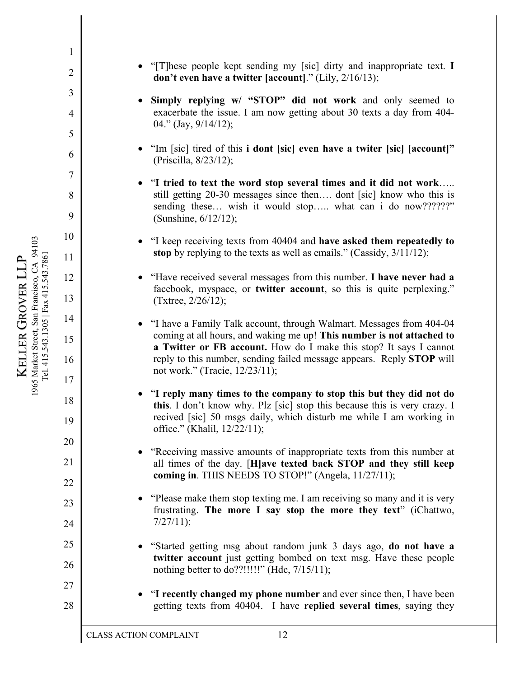- x "[T]hese people kept sending my [sic] dirty and inappropriate text. **I don't even have a twitter [account]**." (Lily, 2/16/13);
- Simply replying w/ "STOP" did not work and only seemed to exacerbate the issue. I am now getting about 30 texts a day from 404- 04." (Jay, 9/14/12);
- "Im [sic] tired of this **i** dont [sic] even have a twiter [sic] [account]" (Priscilla, 8/23/12);
- x "**I tried to text the word stop several times and it did not work**….. still getting 20-30 messages since then…. dont [sic] know who this is sending these... wish it would stop..... what can i do now???????" (Sunshine, 6/12/12);
- x "I keep receiving texts from 40404 and **have asked them repeatedly to stop** by replying to the texts as well as emails." (Cassidy, 3/11/12);
- x "Have received several messages from this number. **I have never had a**  facebook, myspace, or **twitter account**, so this is quite perplexing." (Txtree, 2/26/12);
- x "I have a Family Talk account, through Walmart. Messages from 404-04 coming at all hours, and waking me up! **This number is not attached to a Twitter or FB account.** How do I make this stop? It says I cannot reply to this number, sending failed message appears. Reply **STOP** will not work." (Tracie, 12/23/11);
- x "**I reply many times to the company to stop this but they did not do this**. I don't know why. Plz [sic] stop this because this is very crazy. I recived [sic] 50 msgs daily, which disturb me while I am working in office." (Khalil, 12/22/11);
- x "Receiving massive amounts of inappropriate texts from this number at all times of the day. [**H]ave texted back STOP and they still keep coming in**. THIS NEEDS TO STOP!" (Angela, 11/27/11);
- $\bullet$  "Please make them stop texting me. I am receiving so many and it is very frustrating. **The more I say stop the more they text**" (iChattwo, 7/27/11);
- x "Started getting msg about random junk 3 days ago, **do not have a twitter account** just getting bombed on text msg. Have these people nothing better to do??!!!!!!" (Hdc, 7/15/11);
- x "**I recently changed my phone number** and ever since then, I have been getting texts from 40404. I have **replied several times**, saying they

2

3

4

5

6

7

8

9

10

11

12

13

14

15

16

17

18

19

20

21

22

23

24

25

26

27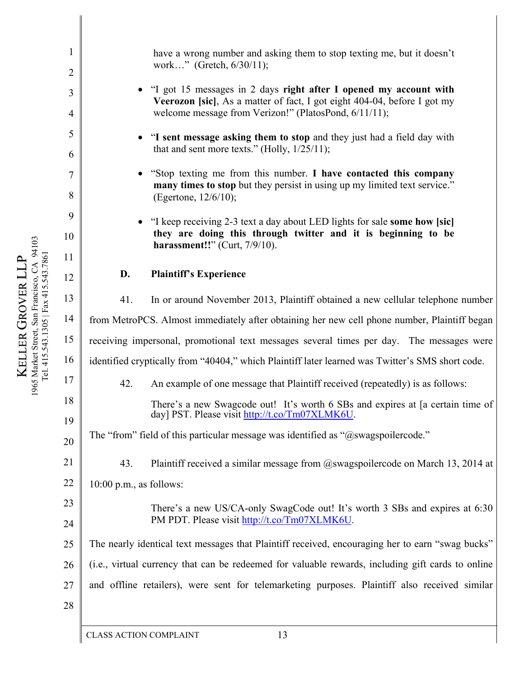2 3 4 5 6 7 8 9 10 1965 Market Street, San Francisco, CA 94103 Francisco, CA 94103 Tel. 415.543.1305 | Fax 415.543.7861 1965 Market Street, San Francisco, CA 94<br>Tel. 415.543.1305 | Fax 415.543.7861 11 12 13 14 from MetroPCS. Almost immediately after obtaining her new cell phone number, Plaintiff began 15 receiving impersonal, promotional text messages several times per day. The messages were 16 identified cryptically from "40404," which Plaintiff later learned was Twitter's SMS short code. 17 42. An example of one message that Plaintiff received (repeatedly) is as follows: 18 There's a new Swagcode out! It's worth 6 SBs and expires at [a certain time of day] PST. Please visit http://t.co/Tm07XLMK6U. 19 The "from" field of this particular message was identified as "@swagspoilercode." 20 21 43. Plaintiff received a similar message from @swagspoilercode on March 13, 2014 at 22 10:00 p.m., as follows: 23 There's a new US/CA-only SwagCode out! It's worth 3 SBs and expires at 6:30 PM PDT. Please visit http://t.co/Tm07XLMK6U. 24 The nearly identical text messages that Plaintiff received, encouraging her to earn "swag bucks" 25 26 (i.e., virtual currency that can be redeemed for valuable rewards, including gift cards to online and offline retailers), were sent for telemarketing purposes. Plaintiff also received similar 27

1

KE LLER

 $\mathfrak{S}% _{T}=\mathfrak{S}_{T}\!\left( a,b\right) ,\ \mathfrak{S}_{T}=C_{T}\!\left( a,b\right) ,$ OVER

 $\overline{\phantom{0}}$  $\overline{\phantom{0}}$  $\mathbf{P}_{\mathbf{H}}$ 

work…" (Gretch, 6/30/11); x "I got 15 messages in 2 days **right after I opened my account with Veerozon [sic]**, As a matter of fact, I got eight 404-04, before I got my welcome message from Verizon!" (PlatosPond, 6/11/11); • "**I sent message asking them to stop** and they just had a field day with that and sent more texts." (Holly,  $1/25/11$ ); x "Stop texting me from this number. **I have contacted this company many times to stop** but they persist in using up my limited text service." (Egertone, 12/6/10); x "I keep receiving 2-3 text a day about LED lights for sale **some how [sic] they are doing this through twitter and it is beginning to be harassment!!**" (Curt, 7/9/10). **D. Plaintiff's Experience**  41. In or around November 2013, Plaintiff obtained a new cellular telephone number

have a wrong number and asking them to stop texting me, but it doesn't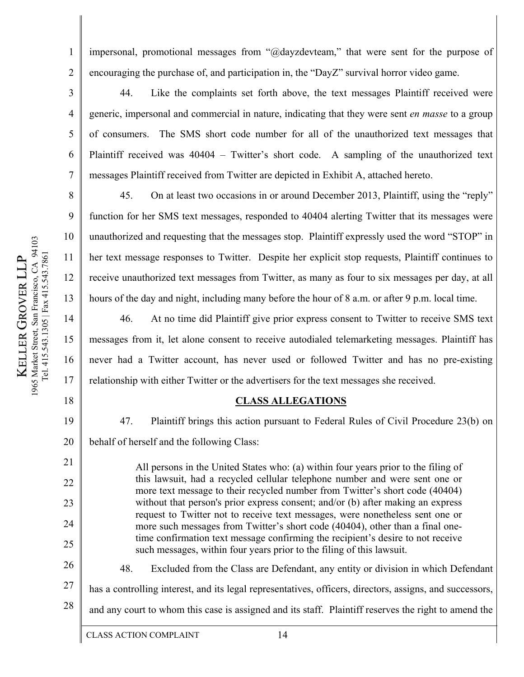2

3

4

5

6

7

8

9

10

11

12

13

15

16

17

18

19

20

21

22

23

24

25

impersonal, promotional messages from "@dayzdevteam," that were sent for the purpose of encouraging the purchase of, and participation in, the "DayZ" survival horror video game.

44. Like the complaints set forth above, the text messages Plaintiff received were generic, impersonal and commercial in nature, indicating that they were sent *en masse* to a group of consumers. The SMS short code number for all of the unauthorized text messages that Plaintiff received was 40404 – Twitter's short code. A sampling of the unauthorized text messages Plaintiff received from Twitter are depicted in Exhibit A, attached hereto.

45. On at least two occasions in or around December 2013, Plaintiff, using the "reply" function for her SMS text messages, responded to 40404 alerting Twitter that its messages were unauthorized and requesting that the messages stop. Plaintiff expressly used the word "STOP" in her text message responses to Twitter. Despite her explicit stop requests, Plaintiff continues to receive unauthorized text messages from Twitter, as many as four to six messages per day, at all hours of the day and night, including many before the hour of 8 a.m. or after 9 p.m. local time.

14 46. At no time did Plaintiff give prior express consent to Twitter to receive SMS text messages from it, let alone consent to receive autodialed telemarketing messages. Plaintiff has never had a Twitter account, has never used or followed Twitter and has no pre-existing relationship with either Twitter or the advertisers for the text messages she received.

## **CLASS ALLEGATIONS**

47. Plaintiff brings this action pursuant to Federal Rules of Civil Procedure 23(b) on behalf of herself and the following Class:

All persons in the United States who: (a) within four years prior to the filing of this lawsuit, had a recycled cellular telephone number and were sent one or more text message to their recycled number from Twitter's short code (40404) without that person's prior express consent; and/or (b) after making an express request to Twitter not to receive text messages, were nonetheless sent one or more such messages from Twitter's short code (40404), other than a final onetime confirmation text message confirming the recipient's desire to not receive such messages, within four years prior to the filing of this lawsuit.

26 27 28 48. Excluded from the Class are Defendant, any entity or division in which Defendant has a controlling interest, and its legal representatives, officers, directors, assigns, and successors, and any court to whom this case is assigned and its staff. Plaintiff reserves the right to amend the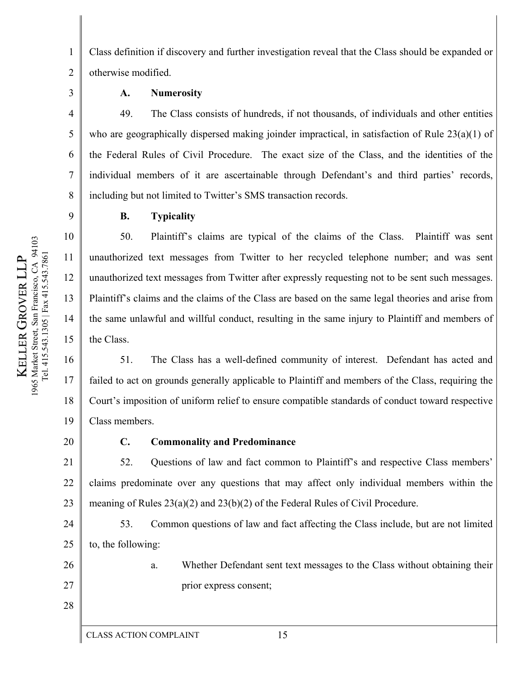2 Class definition if discovery and further investigation reveal that the Class should be expanded or otherwise modified.

1

3

4

5

6

7

8

9

10

11

12

13

14

15

# **A. Numerosity**

49. The Class consists of hundreds, if not thousands, of individuals and other entities who are geographically dispersed making joinder impractical, in satisfaction of Rule  $23(a)(1)$  of the Federal Rules of Civil Procedure. The exact size of the Class, and the identities of the individual members of it are ascertainable through Defendant's and third parties' records, including but not limited to Twitter's SMS transaction records.

**B. Typicality** 

50. Plaintiff's claims are typical of the claims of the Class. Plaintiff was sent unauthorized text messages from Twitter to her recycled telephone number; and was sent unauthorized text messages from Twitter after expressly requesting not to be sent such messages. Plaintiff's claims and the claims of the Class are based on the same legal theories and arise from the same unlawful and willful conduct, resulting in the same injury to Plaintiff and members of the Class.

16 17 18 19 51. The Class has a well-defined community of interest. Defendant has acted and failed to act on grounds generally applicable to Plaintiff and members of the Class, requiring the Court's imposition of uniform relief to ensure compatible standards of conduct toward respective Class members.

20

26

27

28

# **C. Commonality and Predominance**

21 22 23 52. Questions of law and fact common to Plaintiff's and respective Class members' claims predominate over any questions that may affect only individual members within the meaning of Rules 23(a)(2) and 23(b)(2) of the Federal Rules of Civil Procedure.

24 25 53. Common questions of law and fact affecting the Class include, but are not limited to, the following:

a. Whether Defendant sent text messages to the Class without obtaining their prior express consent;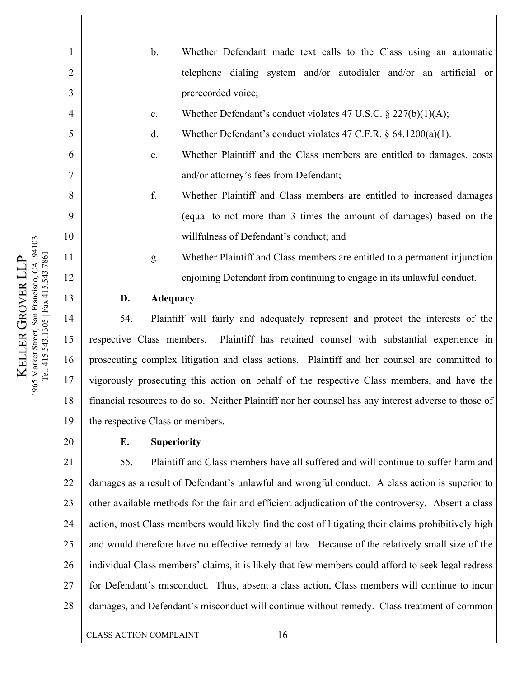- b. Whether Defendant made text calls to the Class using an automatic telephone dialing system and/or autodialer and/or an artificial or prerecorded voice;
- c. Whether Defendant's conduct violates 47 U.S.C. § 227(b)(1)(A);
- d. Whether Defendant's conduct violates 47 C.F.R. § 64.1200(a)(1).
- e. Whether Plaintiff and the Class members are entitled to damages, costs and/or attorney's fees from Defendant;
- f. Whether Plaintiff and Class members are entitled to increased damages (equal to not more than 3 times the amount of damages) based on the willfulness of Defendant's conduct; and
- g. Whether Plaintiff and Class members are entitled to a permanent injunction enjoining Defendant from continuing to engage in its unlawful conduct.

# **D. Adequacy**

14 15 16 17 18 19 54. Plaintiff will fairly and adequately represent and protect the interests of the respective Class members. Plaintiff has retained counsel with substantial experience in prosecuting complex litigation and class actions. Plaintiff and her counsel are committed to vigorously prosecuting this action on behalf of the respective Class members, and have the financial resources to do so. Neither Plaintiff nor her counsel has any interest adverse to those of the respective Class or members.

20

# **E. Superiority**

21 22 23 24 25 26 27 28 55. Plaintiff and Class members have all suffered and will continue to suffer harm and damages as a result of Defendant's unlawful and wrongful conduct. A class action is superior to other available methods for the fair and efficient adjudication of the controversy. Absent a class action, most Class members would likely find the cost of litigating their claims prohibitively high and would therefore have no effective remedy at law. Because of the relatively small size of the individual Class members' claims, it is likely that few members could afford to seek legal redress for Defendant's misconduct. Thus, absent a class action, Class members will continue to incur damages, and Defendant's misconduct will continue without remedy. Class treatment of common

1

2

3

4

5

6

7

8

9

10

11

12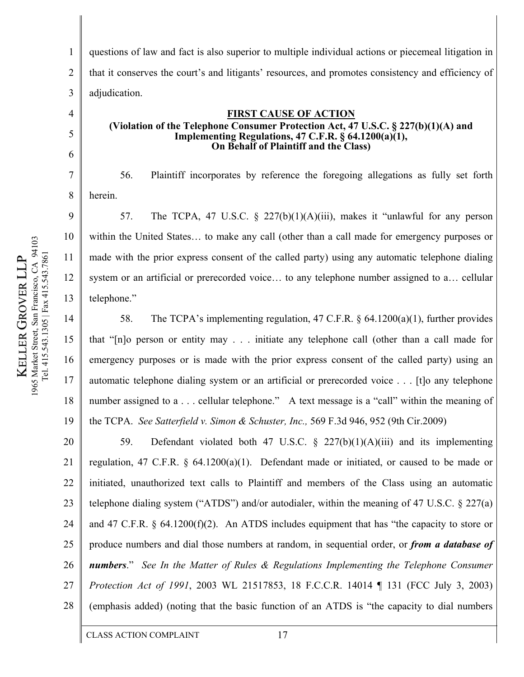1 2 3 questions of law and fact is also superior to multiple individual actions or piecemeal litigation in that it conserves the court's and litigants' resources, and promotes consistency and efficiency of adjudication.

#### **FIRST CAUSE OF ACTION**

## **(Violation of the Telephone Consumer Protection Act, 47 U.S.C. § 227(b)(1)(A) and Implementing Regulations, 47 C.F.R. § 64.1200(a)(1), On Behalf of Plaintiff and the Class)**

56. Plaintiff incorporates by reference the foregoing allegations as fully set forth herein.

57. The TCPA, 47 U.S.C. § 227(b)(1)(A)(iii), makes it "unlawful for any person within the United States… to make any call (other than a call made for emergency purposes or made with the prior express consent of the called party) using any automatic telephone dialing system or an artificial or prerecorded voice… to any telephone number assigned to a… cellular telephone."

58. The TCPA's implementing regulation, 47 C.F.R. § 64.1200(a)(1), further provides that "[n]o person or entity may . . . initiate any telephone call (other than a call made for emergency purposes or is made with the prior express consent of the called party) using an automatic telephone dialing system or an artificial or prerecorded voice . . . [t]o any telephone number assigned to a . . . cellular telephone." A text message is a "call" within the meaning of the TCPA. *See Satterfield v. Simon & Schuster, Inc.,* 569 F.3d 946, 952 (9th Cir.2009)

20 21 22 23 24 25 26 27 28 59. Defendant violated both 47 U.S.C. § 227(b)(1)(A)(iii) and its implementing regulation, 47 C.F.R.  $\& 64.1200(a)(1)$ . Defendant made or initiated, or caused to be made or initiated, unauthorized text calls to Plaintiff and members of the Class using an automatic telephone dialing system ("ATDS") and/or autodialer, within the meaning of 47 U.S.C. § 227(a) and 47 C.F.R.  $\&$  64.1200(f)(2). An ATDS includes equipment that has "the capacity to store or produce numbers and dial those numbers at random, in sequential order, or *from a database of numbers*." *See In the Matter of Rules & Regulations Implementing the Telephone Consumer Protection Act of 1991*, 2003 WL 21517853, 18 F.C.C.R. 14014 ¶ 131 (FCC July 3, 2003) (emphasis added) (noting that the basic function of an ATDS is "the capacity to dial numbers

4

5

6

7

8

9

10

11

12

13

14

15

16

17

18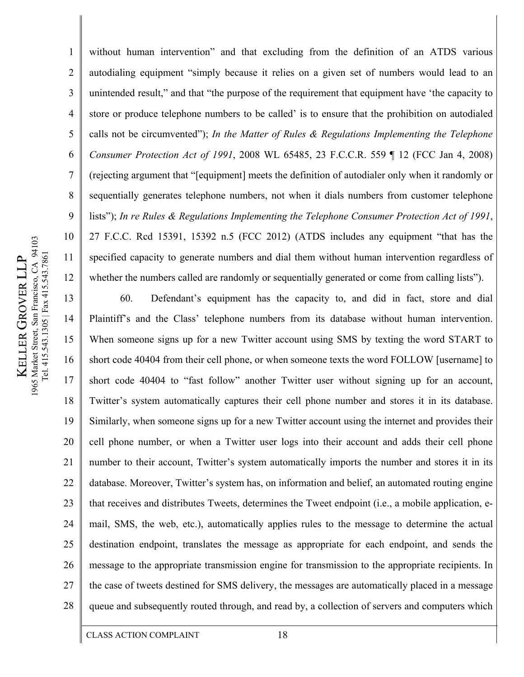1 2 3 4 5 6 7 8 9 10 12 without human intervention" and that excluding from the definition of an ATDS various autodialing equipment "simply because it relies on a given set of numbers would lead to an unintended result," and that "the purpose of the requirement that equipment have 'the capacity to store or produce telephone numbers to be called' is to ensure that the prohibition on autodialed calls not be circumvented"); *In the Matter of Rules & Regulations Implementing the Telephone Consumer Protection Act of 1991*, 2008 WL 65485, 23 F.C.C.R. 559 ¶ 12 (FCC Jan 4, 2008) (rejecting argument that "[equipment] meets the definition of autodialer only when it randomly or sequentially generates telephone numbers, not when it dials numbers from customer telephone lists"); *In re Rules & Regulations Implementing the Telephone Consumer Protection Act of 1991*, 27 F.C.C. Rcd 15391, 15392 n.5 (FCC 2012) (ATDS includes any equipment "that has the specified capacity to generate numbers and dial them without human intervention regardless of whether the numbers called are randomly or sequentially generated or come from calling lists").

13 14 15 16 17 18 19 20 21 22 23 24 25 26 27 28 60. Defendant's equipment has the capacity to, and did in fact, store and dial Plaintiff's and the Class' telephone numbers from its database without human intervention. When someone signs up for a new Twitter account using SMS by texting the word START to short code 40404 from their cell phone, or when someone texts the word FOLLOW [username] to short code 40404 to "fast follow" another Twitter user without signing up for an account, Twitter's system automatically captures their cell phone number and stores it in its database. Similarly, when someone signs up for a new Twitter account using the internet and provides their cell phone number, or when a Twitter user logs into their account and adds their cell phone number to their account, Twitter's system automatically imports the number and stores it in its database. Moreover, Twitter's system has, on information and belief, an automated routing engine that receives and distributes Tweets, determines the Tweet endpoint (i.e., a mobile application, email, SMS, the web, etc.), automatically applies rules to the message to determine the actual destination endpoint, translates the message as appropriate for each endpoint, and sends the message to the appropriate transmission engine for transmission to the appropriate recipients. In the case of tweets destined for SMS delivery, the messages are automatically placed in a message queue and subsequently routed through, and read by, a collection of servers and computers which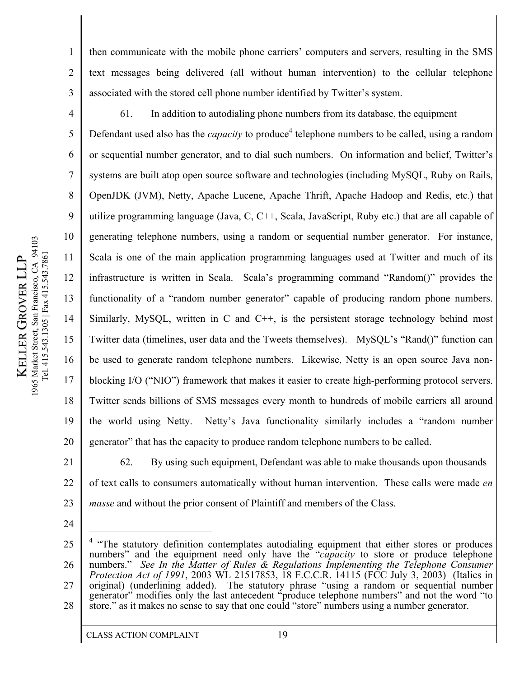2

3

11

then communicate with the mobile phone carriers' computers and servers, resulting in the SMS text messages being delivered (all without human intervention) to the cellular telephone associated with the stored cell phone number identified by Twitter's system.

4 5 6 7 8 9 10 12 13 14 15 16 17 18 19 20 61. In addition to autodialing phone numbers from its database, the equipment Defendant used also has the *capacity* to produce<sup>4</sup> telephone numbers to be called, using a random or sequential number generator, and to dial such numbers. On information and belief, Twitter's systems are built atop open source software and technologies (including MySQL, Ruby on Rails, OpenJDK (JVM), Netty, Apache Lucene, Apache Thrift, Apache Hadoop and Redis, etc.) that utilize programming language (Java, C, C++, Scala, JavaScript, Ruby etc.) that are all capable of generating telephone numbers, using a random or sequential number generator. For instance, Scala is one of the main application programming languages used at Twitter and much of its infrastructure is written in Scala. Scala's programming command "Random()" provides the functionality of a "random number generator" capable of producing random phone numbers. Similarly, MySQL, written in C and  $C_{++}$ , is the persistent storage technology behind most Twitter data (timelines, user data and the Tweets themselves). MySQL's "Rand()" function can be used to generate random telephone numbers. Likewise, Netty is an open source Java nonblocking I/O ("NIO") framework that makes it easier to create high-performing protocol servers. Twitter sends billions of SMS messages every month to hundreds of mobile carriers all around the world using Netty. Netty's Java functionality similarly includes a "random number generator" that has the capacity to produce random telephone numbers to be called.

21 22 23 62. By using such equipment, Defendant was able to make thousands upon thousands of text calls to consumers automatically without human intervention. These calls were made *en masse* and without the prior consent of Plaintiff and members of the Class.

24

 $\overline{a}$ 

<sup>25</sup>  26 27 28 <sup>4</sup> "The statutory definition contemplates autodialing equipment that either stores or produces numbers" and the equipment need only have the "*capacity* to store or produce telephone numbers." *See In the Matter of Rules & Regulations Implementing the Telephone Consumer Protection Act of 1991*, 2003 WL 21517853, 18 F.C.C.R. 14115 (FCC July 3, 2003) (Italics in original) (underlining added). The statutory phrase "using a random or sequential number generator" modifies only the last antecedent "produce telephone numbers" and not the word "to store," as it makes no sense to say that one could "store" numbers using a number generator.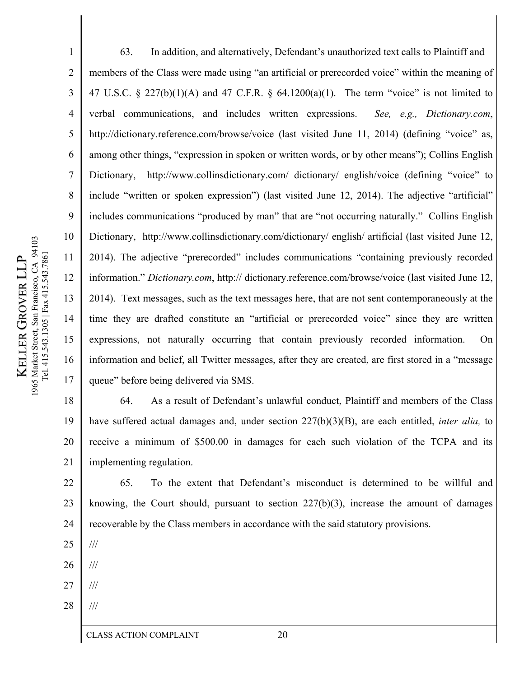1 2 3 4 5 6 7 8 9 10 11 12 13 14 15 16 17 63. In addition, and alternatively, Defendant's unauthorized text calls to Plaintiff and members of the Class were made using "an artificial or prerecorded voice" within the meaning of 47 U.S.C. § 227(b)(1)(A) and 47 C.F.R. § 64.1200(a)(1). The term "voice" is not limited to verbal communications, and includes written expressions. *See, e.g., Dictionary.com*, http://dictionary.reference.com/browse/voice (last visited June 11, 2014) (defining "voice" as, among other things, "expression in spoken or written words, or by other means"); Collins English Dictionary, http://www.collinsdictionary.com/ dictionary/ english/voice (defining "voice" to include "written or spoken expression") (last visited June 12, 2014). The adjective "artificial" includes communications "produced by man" that are "not occurring naturally." Collins English Dictionary, http://www.collinsdictionary.com/dictionary/ english/ artificial (last visited June 12, 2014). The adjective "prerecorded" includes communications "containing previously recorded information." *Dictionary.com*, http:// dictionary.reference.com/browse/voice (last visited June 12, 2014). Text messages, such as the text messages here, that are not sent contemporaneously at the time they are drafted constitute an "artificial or prerecorded voice" since they are written expressions, not naturally occurring that contain previously recorded information. On information and belief, all Twitter messages, after they are created, are first stored in a "message queue" before being delivered via SMS.

18 19 20 21 64. As a result of Defendant's unlawful conduct, Plaintiff and members of the Class have suffered actual damages and, under section 227(b)(3)(B), are each entitled, *inter alia,* to receive a minimum of \$500.00 in damages for each such violation of the TCPA and its implementing regulation.

22 23 24 65. To the extent that Defendant's misconduct is determined to be willful and knowing, the Court should, pursuant to section 227(b)(3), increase the amount of damages recoverable by the Class members in accordance with the said statutory provisions.

25 ///

26 ///

27 ///

28 ///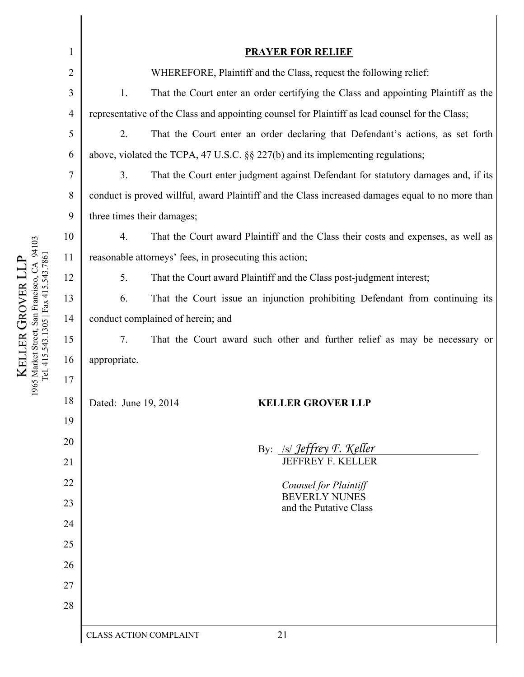| 1              | <b>PRAYER FOR RELIEF</b>                                                                            |  |
|----------------|-----------------------------------------------------------------------------------------------------|--|
| $\overline{2}$ | WHEREFORE, Plaintiff and the Class, request the following relief:                                   |  |
| $\mathfrak{Z}$ | That the Court enter an order certifying the Class and appointing Plaintiff as the<br>1.            |  |
| $\overline{4}$ | representative of the Class and appointing counsel for Plaintiff as lead counsel for the Class;     |  |
| 5              | 2.<br>That the Court enter an order declaring that Defendant's actions, as set forth                |  |
| 6              | above, violated the TCPA, 47 U.S.C. $\S$ 227(b) and its implementing regulations;                   |  |
| 7              | 3 <sub>1</sub><br>That the Court enter judgment against Defendant for statutory damages and, if its |  |
| 8              | conduct is proved willful, award Plaintiff and the Class increased damages equal to no more than    |  |
| 9              | three times their damages;                                                                          |  |
| 10             | That the Court award Plaintiff and the Class their costs and expenses, as well as<br>4.             |  |
| 11             | reasonable attorneys' fees, in prosecuting this action;                                             |  |
| 12             | 5.<br>That the Court award Plaintiff and the Class post-judgment interest;                          |  |
| 13             | That the Court issue an injunction prohibiting Defendant from continuing its<br>6.                  |  |
| 14             | conduct complained of herein; and                                                                   |  |
| 15             | 7.<br>That the Court award such other and further relief as may be necessary or                     |  |
| 16             | appropriate.                                                                                        |  |
| 17             |                                                                                                     |  |
| 18             | Dated: June 19, 2014<br><b>KELLER GROVER LLP</b>                                                    |  |
| 19             |                                                                                                     |  |
| 20             | By: /s/ Jeffrey F. Keller                                                                           |  |
| 21             | JEFFREY F. KELLER                                                                                   |  |
| 22             | <b>Counsel for Plaintiff</b>                                                                        |  |
| 23             | <b>BEVERLY NUNES</b><br>and the Putative Class                                                      |  |
| 24             |                                                                                                     |  |
| 25             |                                                                                                     |  |
| 26             |                                                                                                     |  |
| 27             |                                                                                                     |  |
| 28             |                                                                                                     |  |
|                | 21<br><b>CLASS ACTION COMPLAINT</b>                                                                 |  |
|                |                                                                                                     |  |

KE L L H,  $\approx$  $\mathfrak{S}% _{T}=\mathfrak{S}_{T}\!\left( a,b\right) ,\ \mathfrak{S}_{T}=C_{T}\!\left( a,b\right) ,$ O  $\geq$  $\mathbf \mu$  $\approx$  $\overline{\phantom{0}}$  $\overline{\phantom{0}}$  $\mathbf{P}_{\mathbf{H}}$ 1965 Market Street, San Francisco, CA 94103 Tel. 415.543.1305 | Fax 415.543.7861